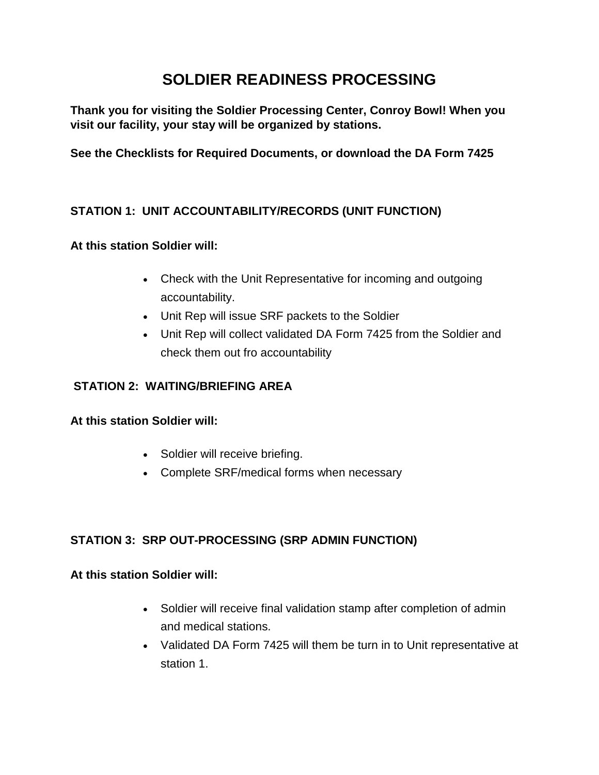# **SOLDIER READINESS PROCESSING**

**Thank you for visiting the Soldier Processing Center, Conroy Bowl! When you visit our facility, your stay will be organized by stations.**

**See the Checklists for Required Documents, or download the DA Form 7425**

# **STATION 1: UNIT ACCOUNTABILITY/RECORDS (UNIT FUNCTION)**

## **At this station Soldier will:**

- Check with the Unit Representative for incoming and outgoing accountability.
- Unit Rep will issue SRF packets to the Soldier
- Unit Rep will collect validated DA Form 7425 from the Soldier and check them out fro accountability

## **STATION 2: WAITING/BRIEFING AREA**

#### **At this station Soldier will:**

- Soldier will receive briefing.
- Complete SRF/medical forms when necessary

# **STATION 3: SRP OUT-PROCESSING (SRP ADMIN FUNCTION)**

## **At this station Soldier will:**

- Soldier will receive final validation stamp after completion of admin and medical stations.
- Validated DA Form 7425 will them be turn in to Unit representative at station 1.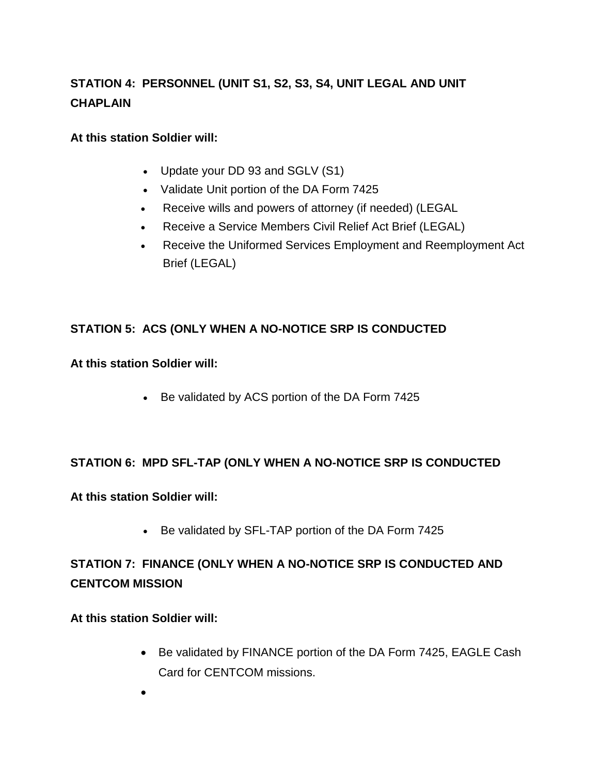# **STATION 4: PERSONNEL (UNIT S1, S2, S3, S4, UNIT LEGAL AND UNIT CHAPLAIN**

#### **At this station Soldier will:**

- Update your DD 93 and SGLV (S1)
- Validate Unit portion of the DA Form 7425
- Receive wills and powers of attorney (if needed) (LEGAL
- Receive a Service Members Civil Relief Act Brief (LEGAL)
- Receive the Uniformed Services Employment and Reemployment Act Brief (LEGAL)

# **STATION 5: ACS (ONLY WHEN A NO-NOTICE SRP IS CONDUCTED**

#### **At this station Soldier will:**

• Be validated by ACS portion of the DA Form 7425

## **STATION 6: MPD SFL-TAP (ONLY WHEN A NO-NOTICE SRP IS CONDUCTED**

#### **At this station Soldier will:**

• Be validated by SFL-TAP portion of the DA Form 7425

# **STATION 7: FINANCE (ONLY WHEN A NO-NOTICE SRP IS CONDUCTED AND CENTCOM MISSION**

## **At this station Soldier will:**

- Be validated by FINANCE portion of the DA Form 7425, EAGLE Cash Card for CENTCOM missions.
- •